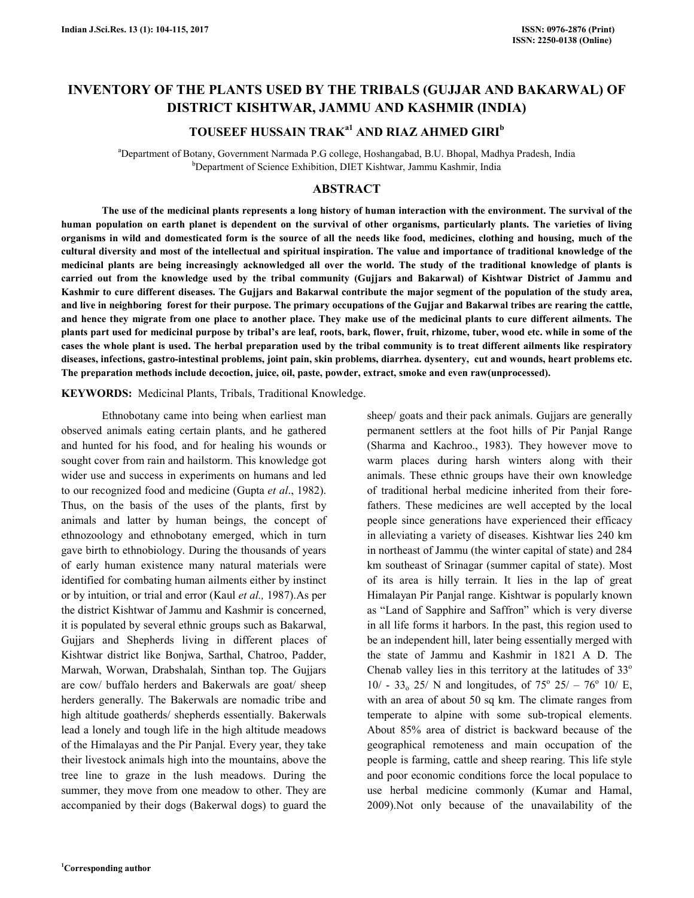# **INVENTORY OF THE PLANTS USED BY THE TRIBALS (GUJJAR AND BAKARWAL) OF DISTRICT KISHTWAR, JAMMU AND KASHMIR (INDIA)**

# **TOUSEEF HUSSAIN TRAKa1 AND RIAZ AHMED GIRI<sup>b</sup>**

<sup>a</sup>Department of Botany, Government Narmada P.G college, Hoshangabad, B.U. Bhopal, Madhya Pradesh, India <sup>b</sup>Department of Science Exhibition, DIET Kishtwar, Jammu Kashmir, India

#### **ABSTRACT**

 **The use of the medicinal plants represents a long history of human interaction with the environment. The survival of the human population on earth planet is dependent on the survival of other organisms, particularly plants. The varieties of living organisms in wild and domesticated form is the source of all the needs like food, medicines, clothing and housing, much of the cultural diversity and most of the intellectual and spiritual inspiration. The value and importance of traditional knowledge of the medicinal plants are being increasingly acknowledged all over the world. The study of the traditional knowledge of plants is carried out from the knowledge used by the tribal community (Gujjars and Bakarwal) of Kishtwar District of Jammu and Kashmir to cure different diseases. The Gujjars and Bakarwal contribute the major segment of the population of the study area, and live in neighboring forest for their purpose. The primary occupations of the Gujjar and Bakarwal tribes are rearing the cattle, and hence they migrate from one place to another place. They make use of the medicinal plants to cure different ailments. The plants part used for medicinal purpose by tribal's are leaf, roots, bark, flower, fruit, rhizome, tuber, wood etc. while in some of the cases the whole plant is used. The herbal preparation used by the tribal community is to treat different ailments like respiratory diseases, infections, gastro-intestinal problems, joint pain, skin problems, diarrhea. dysentery, cut and wounds, heart problems etc. The preparation methods include decoction, juice, oil, paste, powder, extract, smoke and even raw(unprocessed).** 

**KEYWORDS:** Medicinal Plants, Tribals, Traditional Knowledge.

 Ethnobotany came into being when earliest man observed animals eating certain plants, and he gathered and hunted for his food, and for healing his wounds or sought cover from rain and hailstorm. This knowledge got wider use and success in experiments on humans and led to our recognized food and medicine (Gupta *et al*., 1982). Thus, on the basis of the uses of the plants, first by animals and latter by human beings, the concept of ethnozoology and ethnobotany emerged, which in turn gave birth to ethnobiology. During the thousands of years of early human existence many natural materials were identified for combating human ailments either by instinct or by intuition, or trial and error (Kaul *et al.,* 1987).As per the district Kishtwar of Jammu and Kashmir is concerned, it is populated by several ethnic groups such as Bakarwal, Gujjars and Shepherds living in different places of Kishtwar district like Bonjwa, Sarthal, Chatroo, Padder, Marwah, Worwan, Drabshalah, Sinthan top. The Gujjars are cow/ buffalo herders and Bakerwals are goat/ sheep herders generally. The Bakerwals are nomadic tribe and high altitude goatherds/ shepherds essentially. Bakerwals lead a lonely and tough life in the high altitude meadows of the Himalayas and the Pir Panjal. Every year, they take their livestock animals high into the mountains, above the tree line to graze in the lush meadows. During the summer, they move from one meadow to other. They are accompanied by their dogs (Bakerwal dogs) to guard the

permanent settlers at the foot hills of Pir Panjal Range (Sharma and Kachroo., 1983). They however move to warm places during harsh winters along with their animals. These ethnic groups have their own knowledge of traditional herbal medicine inherited from their forefathers. These medicines are well accepted by the local people since generations have experienced their efficacy in alleviating a variety of diseases. Kishtwar lies 240 km in northeast of Jammu (the winter capital of state) and 284 km southeast of Srinagar (summer capital of state). Most of its area is hilly terrain. It lies in the lap of great Himalayan Pir Panjal range. Kishtwar is popularly known as "Land of Sapphire and Saffron" which is very diverse in all life forms it harbors. In the past, this region used to be an independent hill, later being essentially merged with the state of Jammu and Kashmir in 1821 A D. The Chenab valley lies in this territory at the latitudes of  $33^\circ$  $10/ - 33$ <sub>o</sub> 25/ N and longitudes, of  $75^{\circ}$  25/ -  $76^{\circ}$  10/ E, with an area of about 50 sq km. The climate ranges from temperate to alpine with some sub-tropical elements. About 85% area of district is backward because of the geographical remoteness and main occupation of the people is farming, cattle and sheep rearing. This life style and poor economic conditions force the local populace to use herbal medicine commonly (Kumar and Hamal, 2009).Not only because of the unavailability of the

sheep/ goats and their pack animals. Gujjars are generally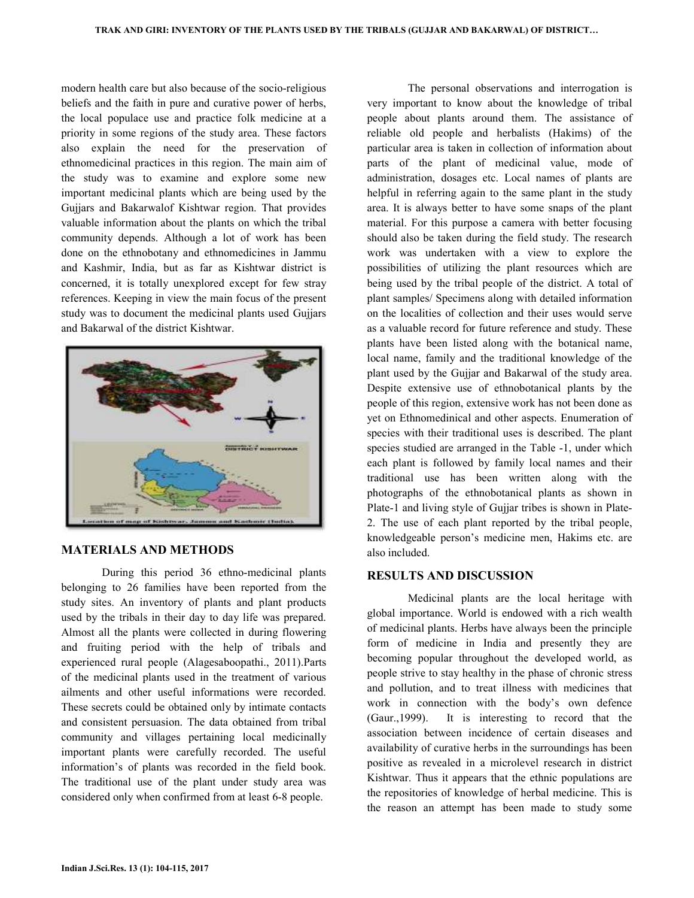modern health care but also because of the socio-religious beliefs and the faith in pure and curative power of herbs, the local populace use and practice folk medicine at a priority in some regions of the study area. These factors also explain the need for the preservation of ethnomedicinal practices in this region. The main aim of the study was to examine and explore some new important medicinal plants which are being used by the Gujjars and Bakarwalof Kishtwar region. That provides valuable information about the plants on which the tribal community depends. Although a lot of work has been done on the ethnobotany and ethnomedicines in Jammu and Kashmir, India, but as far as Kishtwar district is concerned, it is totally unexplored except for few stray references. Keeping in view the main focus of the present study was to document the medicinal plants used Gujjars and Bakarwal of the district Kishtwar.



#### **MATERIALS AND METHODS**

 During this period 36 ethno-medicinal plants belonging to 26 families have been reported from the study sites. An inventory of plants and plant products used by the tribals in their day to day life was prepared. Almost all the plants were collected in during flowering and fruiting period with the help of tribals and experienced rural people (Alagesaboopathi., 2011).Parts of the medicinal plants used in the treatment of various ailments and other useful informations were recorded. These secrets could be obtained only by intimate contacts and consistent persuasion. The data obtained from tribal community and villages pertaining local medicinally important plants were carefully recorded. The useful information's of plants was recorded in the field book. The traditional use of the plant under study area was considered only when confirmed from at least 6-8 people.

very important to know about the knowledge of tribal people about plants around them. The assistance of reliable old people and herbalists (Hakims) of the particular area is taken in collection of information about parts of the plant of medicinal value, mode of administration, dosages etc. Local names of plants are helpful in referring again to the same plant in the study area. It is always better to have some snaps of the plant material. For this purpose a camera with better focusing should also be taken during the field study. The research work was undertaken with a view to explore the possibilities of utilizing the plant resources which are being used by the tribal people of the district. A total of plant samples/ Specimens along with detailed information on the localities of collection and their uses would serve as a valuable record for future reference and study. These plants have been listed along with the botanical name, local name, family and the traditional knowledge of the plant used by the Gujjar and Bakarwal of the study area. Despite extensive use of ethnobotanical plants by the people of this region, extensive work has not been done as yet on Ethnomedinical and other aspects. Enumeration of species with their traditional uses is described. The plant species studied are arranged in the Table -1, under which each plant is followed by family local names and their traditional use has been written along with the photographs of the ethnobotanical plants as shown in Plate-1 and living style of Gujjar tribes is shown in Plate-2. The use of each plant reported by the tribal people, knowledgeable person's medicine men, Hakims etc. are also included.

The personal observations and interrogation is

#### **RESULTS AND DISCUSSION**

 Medicinal plants are the local heritage with global importance. World is endowed with a rich wealth of medicinal plants. Herbs have always been the principle form of medicine in India and presently they are becoming popular throughout the developed world, as people strive to stay healthy in the phase of chronic stress and pollution, and to treat illness with medicines that work in connection with the body's own defence (Gaur.,1999). It is interesting to record that the association between incidence of certain diseases and availability of curative herbs in the surroundings has been positive as revealed in a microlevel research in district Kishtwar. Thus it appears that the ethnic populations are the repositories of knowledge of herbal medicine. This is the reason an attempt has been made to study some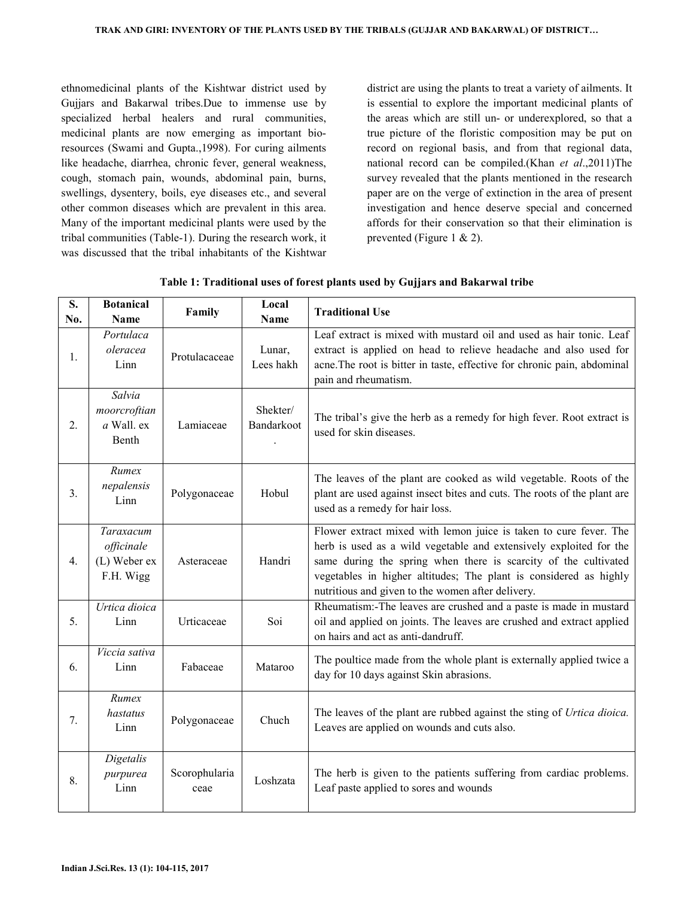ethnomedicinal plants of the Kishtwar district used by Gujjars and Bakarwal tribes.Due to immense use by specialized herbal healers and rural communities, medicinal plants are now emerging as important bioresources (Swami and Gupta.,1998). For curing ailments like headache, diarrhea, chronic fever, general weakness, cough, stomach pain, wounds, abdominal pain, burns, swellings, dysentery, boils, eye diseases etc., and several other common diseases which are prevalent in this area. Many of the important medicinal plants were used by the tribal communities (Table-1). During the research work, it was discussed that the tribal inhabitants of the Kishtwar

district are using the plants to treat a variety of ailments. It is essential to explore the important medicinal plants of the areas which are still un- or underexplored, so that a true picture of the floristic composition may be put on record on regional basis, and from that regional data, national record can be compiled.(Khan *et al*.,2011)The survey revealed that the plants mentioned in the research paper are on the verge of extinction in the area of present investigation and hence deserve special and concerned affords for their conservation so that their elimination is prevented (Figure 1 & 2).

| S.<br>No. | <b>Botanical</b><br><b>Name</b>                      | Family                | Local<br><b>Name</b>   | <b>Traditional Use</b>                                                                                                                                                                                                                                                                                                               |
|-----------|------------------------------------------------------|-----------------------|------------------------|--------------------------------------------------------------------------------------------------------------------------------------------------------------------------------------------------------------------------------------------------------------------------------------------------------------------------------------|
| 1.        | Portulaca<br>oleracea<br>Linn                        | Protulacaceae         | Lunar,<br>Lees hakh    | Leaf extract is mixed with mustard oil and used as hair tonic. Leaf<br>extract is applied on head to relieve headache and also used for<br>acne. The root is bitter in taste, effective for chronic pain, abdominal<br>pain and rheumatism.                                                                                          |
| 2.        | Salvia<br>moorcroftian<br>a Wall. ex<br>Benth        | Lamiaceae             | Shekter/<br>Bandarkoot | The tribal's give the herb as a remedy for high fever. Root extract is<br>used for skin diseases.                                                                                                                                                                                                                                    |
| 3.        | Rumex<br>nepalensis<br>Linn                          | Polygonaceae          | Hobul                  | The leaves of the plant are cooked as wild vegetable. Roots of the<br>plant are used against insect bites and cuts. The roots of the plant are<br>used as a remedy for hair loss.                                                                                                                                                    |
| 4.        | Taraxacum<br>officinale<br>(L) Weber ex<br>F.H. Wigg | Asteraceae            | Handri                 | Flower extract mixed with lemon juice is taken to cure fever. The<br>herb is used as a wild vegetable and extensively exploited for the<br>same during the spring when there is scarcity of the cultivated<br>vegetables in higher altitudes; The plant is considered as highly<br>nutritious and given to the women after delivery. |
| 5.        | Urtica dioica<br>Linn                                | Urticaceae            | Soi                    | Rheumatism:-The leaves are crushed and a paste is made in mustard<br>oil and applied on joints. The leaves are crushed and extract applied<br>on hairs and act as anti-dandruff.                                                                                                                                                     |
| 6.        | Viccia sativa<br>Linn                                | Fabaceae              | Mataroo                | The poultice made from the whole plant is externally applied twice a<br>day for 10 days against Skin abrasions.                                                                                                                                                                                                                      |
| 7.        | Rumex<br>hastatus<br>Linn                            | Polygonaceae          | Chuch                  | The leaves of the plant are rubbed against the sting of Urtica dioica.<br>Leaves are applied on wounds and cuts also.                                                                                                                                                                                                                |
| 8.        | Digetalis<br>purpurea<br>Linn                        | Scorophularia<br>ceae | Loshzata               | The herb is given to the patients suffering from cardiac problems.<br>Leaf paste applied to sores and wounds                                                                                                                                                                                                                         |

**Table 1: Traditional uses of forest plants used by Gujjars and Bakarwal tribe**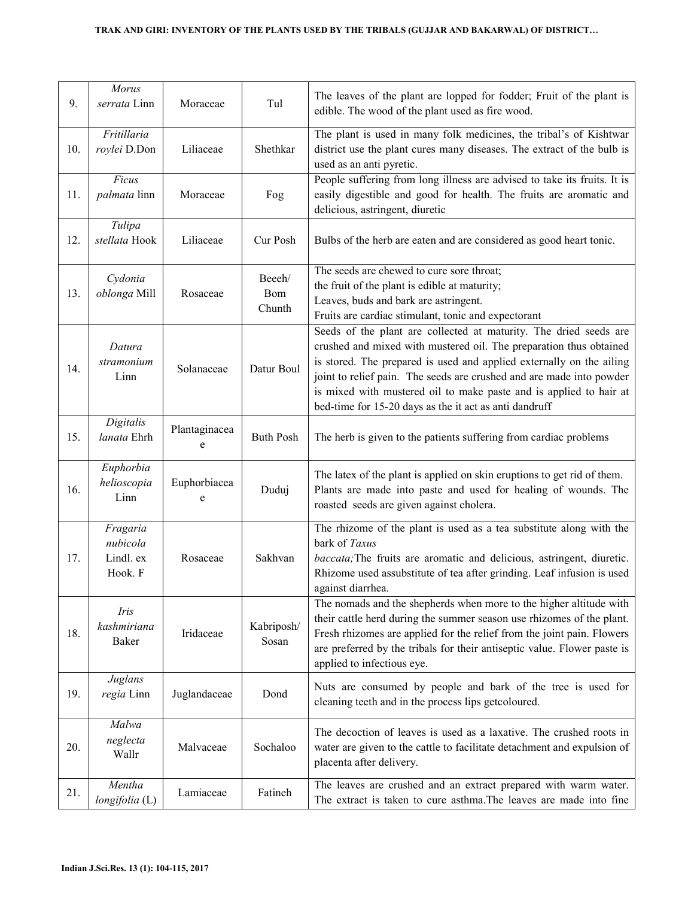| 9.  | Morus<br>serrata Linn                        | Moraceae           | Tul                     | The leaves of the plant are lopped for fodder; Fruit of the plant is<br>edible. The wood of the plant used as fire wood.                                                                                                                                                                                                                                                                                                |
|-----|----------------------------------------------|--------------------|-------------------------|-------------------------------------------------------------------------------------------------------------------------------------------------------------------------------------------------------------------------------------------------------------------------------------------------------------------------------------------------------------------------------------------------------------------------|
| 10. | Fritillaria<br>roylei D.Don                  | Liliaceae          | Shethkar                | The plant is used in many folk medicines, the tribal's of Kishtwar<br>district use the plant cures many diseases. The extract of the bulb is<br>used as an anti pyretic.                                                                                                                                                                                                                                                |
| 11. | Ficus<br>palmata linn                        | Moraceae           | Fog                     | People suffering from long illness are advised to take its fruits. It is<br>easily digestible and good for health. The fruits are aromatic and<br>delicious, astringent, diuretic                                                                                                                                                                                                                                       |
| 12. | Tulipa<br>stellata Hook                      | Liliaceae          | Cur Posh                | Bulbs of the herb are eaten and are considered as good heart tonic.                                                                                                                                                                                                                                                                                                                                                     |
| 13. | Cydonia<br>oblonga Mill                      | Rosaceae           | Beech/<br>Bom<br>Chunth | The seeds are chewed to cure sore throat;<br>the fruit of the plant is edible at maturity;<br>Leaves, buds and bark are astringent.<br>Fruits are cardiac stimulant, tonic and expectorant                                                                                                                                                                                                                              |
| 14. | Datura<br>stramonium<br>Linn                 | Solanaceae         | Datur Boul              | Seeds of the plant are collected at maturity. The dried seeds are<br>crushed and mixed with mustered oil. The preparation thus obtained<br>is stored. The prepared is used and applied externally on the ailing<br>joint to relief pain. The seeds are crushed and are made into powder<br>is mixed with mustered oil to make paste and is applied to hair at<br>bed-time for 15-20 days as the it act as anti dandruff |
| 15. | Digitalis<br>lanata Ehrh                     | Plantaginacea<br>e | <b>Buth Posh</b>        | The herb is given to the patients suffering from cardiac problems                                                                                                                                                                                                                                                                                                                                                       |
| 16. | Euphorbia<br>helioscopia<br>Linn             | Euphorbiacea<br>e  | Duduj                   | The latex of the plant is applied on skin eruptions to get rid of them.<br>Plants are made into paste and used for healing of wounds. The<br>roasted seeds are given against cholera.                                                                                                                                                                                                                                   |
| 17. | Fragaria<br>nubicola<br>Lindl. ex<br>Hook. F | Rosaceae           | Sakhvan                 | The rhizome of the plant is used as a tea substitute along with the<br>bark of Taxus<br><i>baccata</i> ; The fruits are aromatic and delicious, astringent, diuretic.<br>Rhizome used assubstitute of tea after grinding. Leaf infusion is used<br>against diarrhea.                                                                                                                                                    |
| 18. | Iris<br>kashmiriana<br>Baker                 | Iridaceae          | Kabriposh/<br>Sosan     | The nomads and the shepherds when more to the higher altitude with<br>their cattle herd during the summer season use rhizomes of the plant.<br>Fresh rhizomes are applied for the relief from the joint pain. Flowers<br>are preferred by the tribals for their antiseptic value. Flower paste is<br>applied to infectious eye.                                                                                         |
| 19. | Juglans<br>regia Linn                        | Juglandaceae       | Dond                    | Nuts are consumed by people and bark of the tree is used for<br>cleaning teeth and in the process lips getcoloured.                                                                                                                                                                                                                                                                                                     |
| 20. | Malwa<br>neglecta<br>Wallr                   | Malvaceae          | Sochaloo                | The decoction of leaves is used as a laxative. The crushed roots in<br>water are given to the cattle to facilitate detachment and expulsion of<br>placenta after delivery.                                                                                                                                                                                                                                              |
| 21. | Mentha<br>longifolia (L)                     | Lamiaceae          | Fatineh                 | The leaves are crushed and an extract prepared with warm water.<br>The extract is taken to cure asthma. The leaves are made into fine                                                                                                                                                                                                                                                                                   |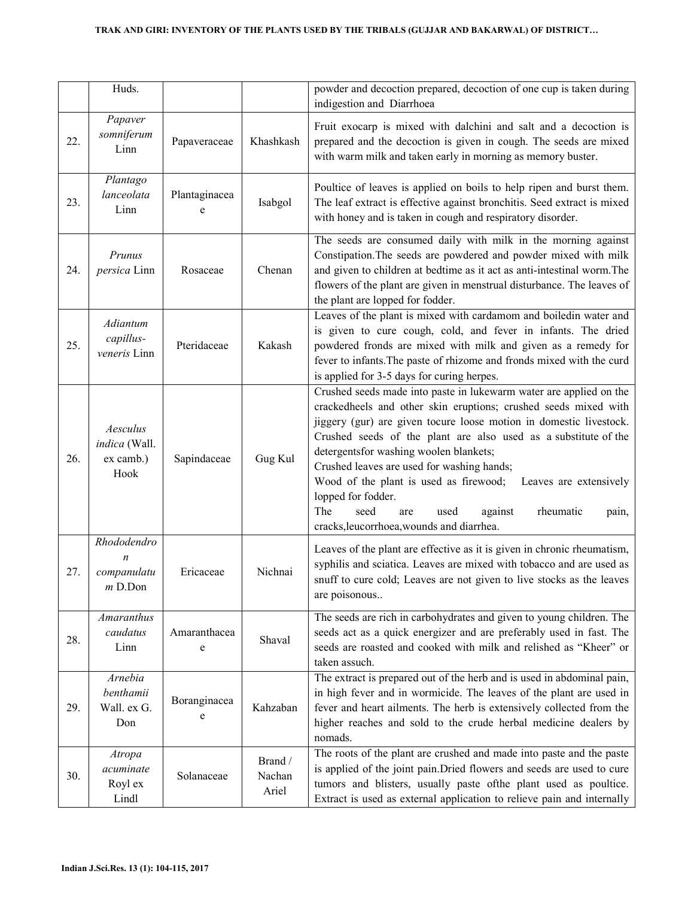|     | Huds.                                                       |                    |                            | powder and decoction prepared, decoction of one cup is taken during                                                                                                                                                                                                                                                                                                                                                                                                                                                                                                          |
|-----|-------------------------------------------------------------|--------------------|----------------------------|------------------------------------------------------------------------------------------------------------------------------------------------------------------------------------------------------------------------------------------------------------------------------------------------------------------------------------------------------------------------------------------------------------------------------------------------------------------------------------------------------------------------------------------------------------------------------|
|     |                                                             |                    |                            | indigestion and Diarrhoea                                                                                                                                                                                                                                                                                                                                                                                                                                                                                                                                                    |
| 22. | Papaver<br>somniferum<br>Linn                               | Papaveraceae       | Khashkash                  | Fruit exocarp is mixed with dalchini and salt and a decoction is<br>prepared and the decoction is given in cough. The seeds are mixed<br>with warm milk and taken early in morning as memory buster.                                                                                                                                                                                                                                                                                                                                                                         |
| 23. | Plantago<br>lanceolata<br>Linn                              | Plantaginacea<br>e | Isabgol                    | Poultice of leaves is applied on boils to help ripen and burst them.<br>The leaf extract is effective against bronchitis. Seed extract is mixed<br>with honey and is taken in cough and respiratory disorder.                                                                                                                                                                                                                                                                                                                                                                |
| 24. | Prunus<br>persica Linn                                      | Rosaceae           | Chenan                     | The seeds are consumed daily with milk in the morning against<br>Constipation. The seeds are powdered and powder mixed with milk<br>and given to children at bedtime as it act as anti-intestinal worm. The<br>flowers of the plant are given in menstrual disturbance. The leaves of<br>the plant are lopped for fodder.                                                                                                                                                                                                                                                    |
| 25. | Adiantum<br>capillus-<br>veneris Linn                       | Pteridaceae        | Kakash                     | Leaves of the plant is mixed with cardamom and boiledin water and<br>is given to cure cough, cold, and fever in infants. The dried<br>powdered fronds are mixed with milk and given as a remedy for<br>fever to infants. The paste of rhizome and fronds mixed with the curd<br>is applied for 3-5 days for curing herpes.                                                                                                                                                                                                                                                   |
| 26. | Aesculus<br>indica (Wall.<br>ex camb.)<br>Hook              | Sapindaceae        | Gug Kul                    | Crushed seeds made into paste in lukewarm water are applied on the<br>crackedheels and other skin eruptions; crushed seeds mixed with<br>jiggery (gur) are given tocure loose motion in domestic livestock.<br>Crushed seeds of the plant are also used as a substitute of the<br>detergentsfor washing woolen blankets;<br>Crushed leaves are used for washing hands;<br>Wood of the plant is used as firewood;<br>Leaves are extensively<br>lopped for fodder.<br>The<br>seed<br>against<br>rheumatic<br>used<br>are<br>pain,<br>cracks, leucorrhoea, wounds and diarrhea. |
| 27. | Rhododendro<br>$\boldsymbol{n}$<br>companulatu<br>$m$ D.Don | Ericaceae          | Nichnai                    | Leaves of the plant are effective as it is given in chronic rheumatism,<br>syphilis and sciatica. Leaves are mixed with tobacco and are used as<br>snuff to cure cold; Leaves are not given to live stocks as the leaves<br>are poisonous                                                                                                                                                                                                                                                                                                                                    |
| 28. | <b>Amaranthus</b><br>caudatus<br>Linn                       | Amaranthacea<br>e  | Shaval                     | The seeds are rich in carbohydrates and given to young children. The<br>seeds act as a quick energizer and are preferably used in fast. The<br>seeds are roasted and cooked with milk and relished as "Kheer" or<br>taken assuch.                                                                                                                                                                                                                                                                                                                                            |
| 29. | Arnebia<br>benthamii<br>Wall. ex G.<br>Don                  | Boranginacea<br>e  | Kahzaban                   | The extract is prepared out of the herb and is used in abdominal pain,<br>in high fever and in wormicide. The leaves of the plant are used in<br>fever and heart ailments. The herb is extensively collected from the<br>higher reaches and sold to the crude herbal medicine dealers by<br>nomads.                                                                                                                                                                                                                                                                          |
| 30. | Atropa<br>acuminate<br>Royl ex<br>Lindl                     | Solanaceae         | Brand /<br>Nachan<br>Ariel | The roots of the plant are crushed and made into paste and the paste<br>is applied of the joint pain. Dried flowers and seeds are used to cure<br>tumors and blisters, usually paste ofthe plant used as poultice.<br>Extract is used as external application to relieve pain and internally                                                                                                                                                                                                                                                                                 |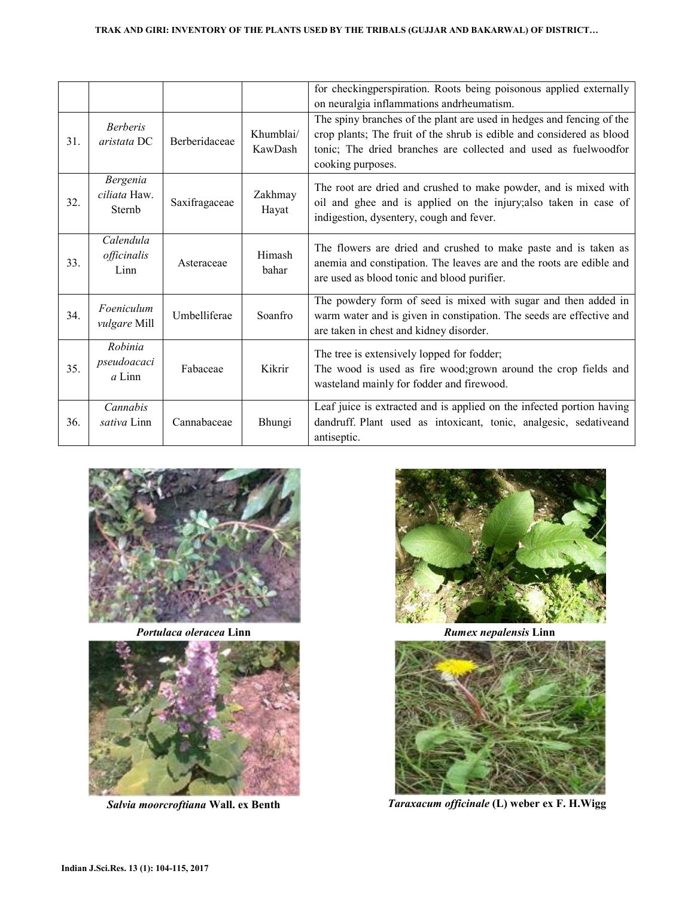|     |                                           |               |                      | for checkingperspiration. Roots being poisonous applied externally<br>on neuralgia inflammations and rheumatism.                                                                                                                       |
|-----|-------------------------------------------|---------------|----------------------|----------------------------------------------------------------------------------------------------------------------------------------------------------------------------------------------------------------------------------------|
| 31. | <b>Berberis</b><br>aristata DC            | Berberidaceae | Khumblai/<br>KawDash | The spiny branches of the plant are used in hedges and fencing of the<br>crop plants; The fruit of the shrub is edible and considered as blood<br>tonic; The dried branches are collected and used as fuelwoodfor<br>cooking purposes. |
| 32. | Bergenia<br>ciliata Haw.<br><b>Sternb</b> | Saxifragaceae | Zakhmay<br>Hayat     | The root are dried and crushed to make powder, and is mixed with<br>oil and ghee and is applied on the injury; also taken in case of<br>indigestion, dysentery, cough and fever.                                                       |
| 33. | Calendula<br>officinalis<br>Linn          | Asteraceae    | Himash<br>bahar      | The flowers are dried and crushed to make paste and is taken as<br>anemia and constipation. The leaves are and the roots are edible and<br>are used as blood tonic and blood purifier.                                                 |
| 34. | Foeniculum<br><i>vulgare</i> Mill         | Umbelliferae  | Soanfro              | The powdery form of seed is mixed with sugar and then added in<br>warm water and is given in constipation. The seeds are effective and<br>are taken in chest and kidney disorder.                                                      |
| 35. | Robinia<br>pseudoacaci<br>$a$ Linn        | Fabaceae      | Kikrir               | The tree is extensively lopped for fodder;<br>The wood is used as fire wood; grown around the crop fields and<br>wasteland mainly for fodder and firewood.                                                                             |
| 36. | Cannabis<br>sativa Linn                   | Cannabaceae   | Bhungi               | Leaf juice is extracted and is applied on the infected portion having<br>dandruff. Plant used as intoxicant, tonic, analgesic, sedative and<br>antiseptic.                                                                             |



*Portulaca oleracea* **Linn** 



*Salvia moorcroftiana* **Wall. ex Benth**



*Rumex nepalensis* **Linn**



*Taraxacum officinale* **(L) weber ex F. H.Wigg**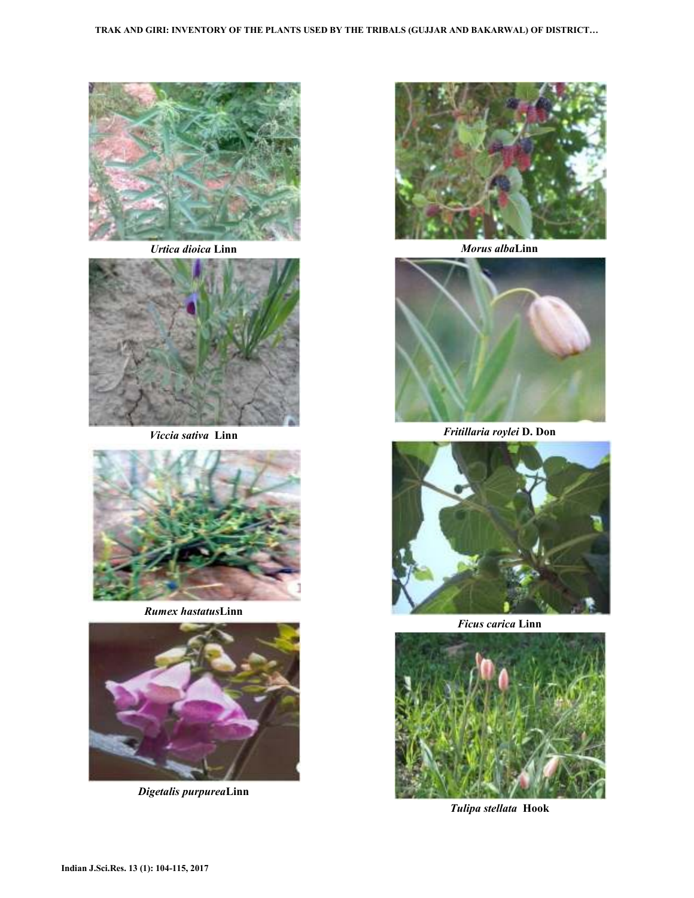

*Urtica dioica* **Linn** 



*Viccia sativa* **Linn** 



*Rumex hastatus***Linn**



*Digetalis purpurea***Linn**



*Morus alba***Linn** 



*Fritillaria roylei* **D. Don** 



*Ficus carica* **Linn** 



*Tulipa stellata* **Hook**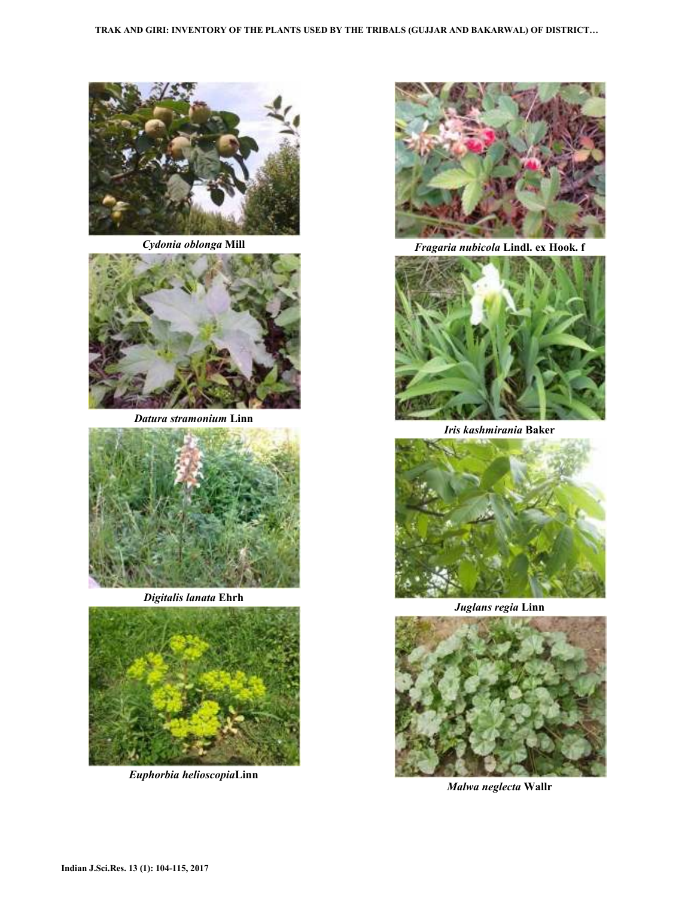

*Cydonia oblonga* **Mill**



*Datura stramonium* **Linn**



*Digitalis lanata* **Ehrh**



*Euphorbia helioscopia***Linn** 



*Fragaria nubicola* **Lindl. ex Hook. f** 



*Iris kashmirania* **Baker**



*Juglans regia* **Linn**



*Malwa neglecta* **Wallr**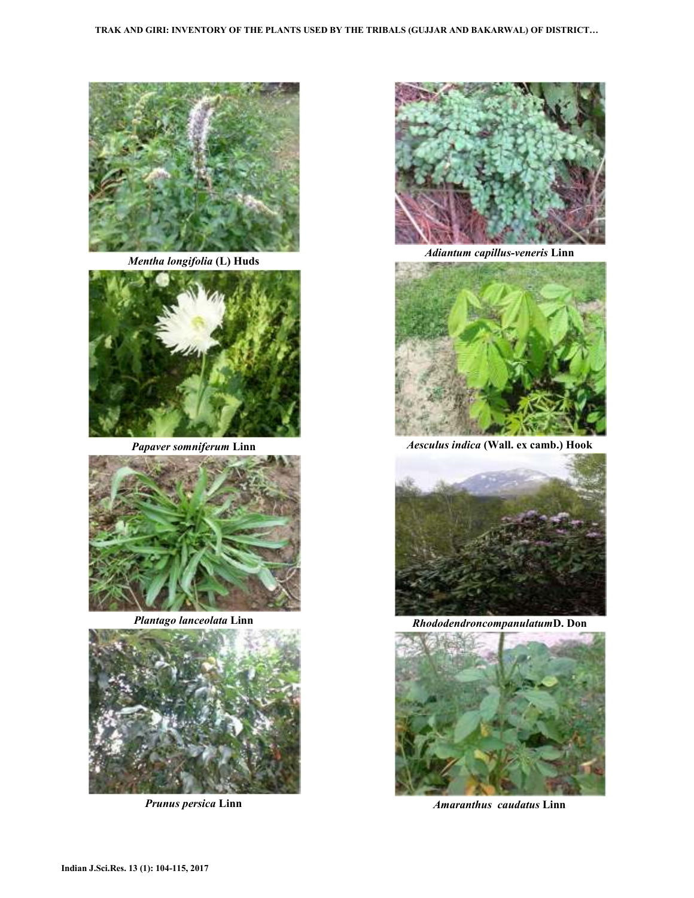

*Mentha longifolia* **(L) Huds**



*Papaver somniferum* **Linn**



*Plantago lanceolata* **Linn**



*Prunus persica* **Linn**



*Adiantum capillus-veneris* **Linn**



*Aesculus indica* **(Wall. ex camb.) Hook**



*Rhododendroncompanulatum***D. Don** 



*Amaranthus caudatus* **Linn**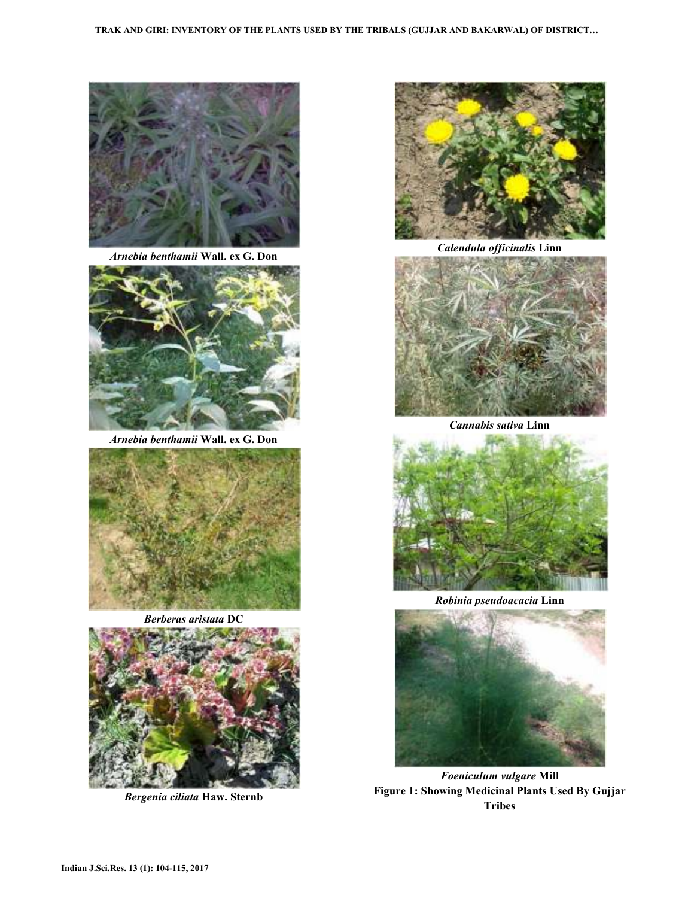

*Arnebia benthamii* **Wall. ex G. Don**



*Arnebia benthamii* **Wall. ex G. Don**



*Berberas aristata* **DC**



*Bergenia ciliata* **Haw. Sternb** 



*Calendula officinalis* **Linn**



*Cannabis sativa* **Linn**



*Robinia pseudoacacia* **Linn**



*Foeniculum vulgare* **Mill Figure 1: Showing Medicinal Plants Used By Gujjar Tribes**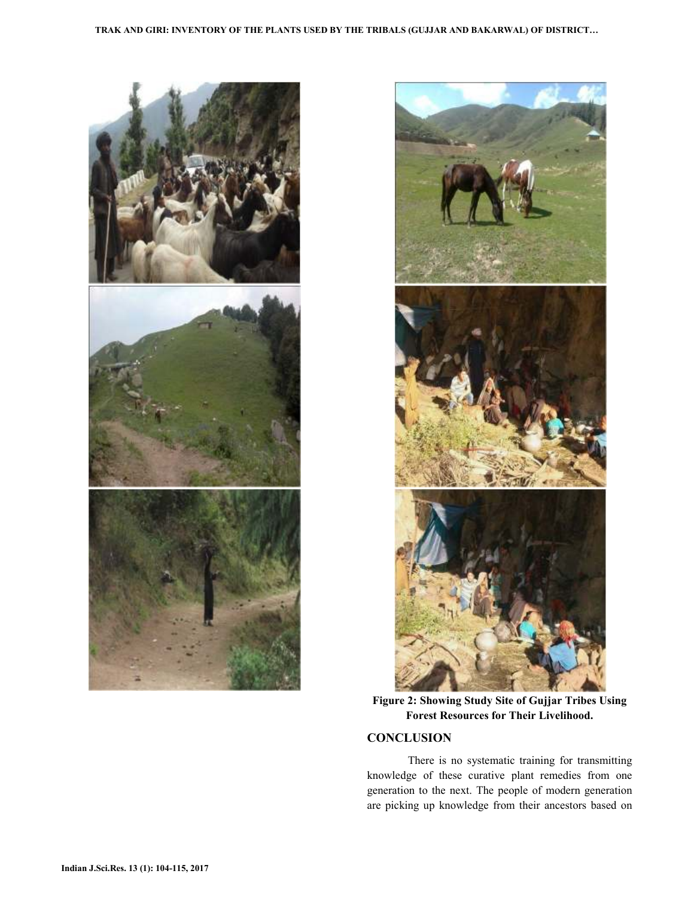



**Figure 2: Showing Study Site of Gujjar Tribes Using Forest Resources for Their Livelihood.** 

### **CONCLUSION**

 There is no systematic training for transmitting knowledge of these curative plant remedies from one generation to the next. The people of modern generation are picking up knowledge from their ancestors based on